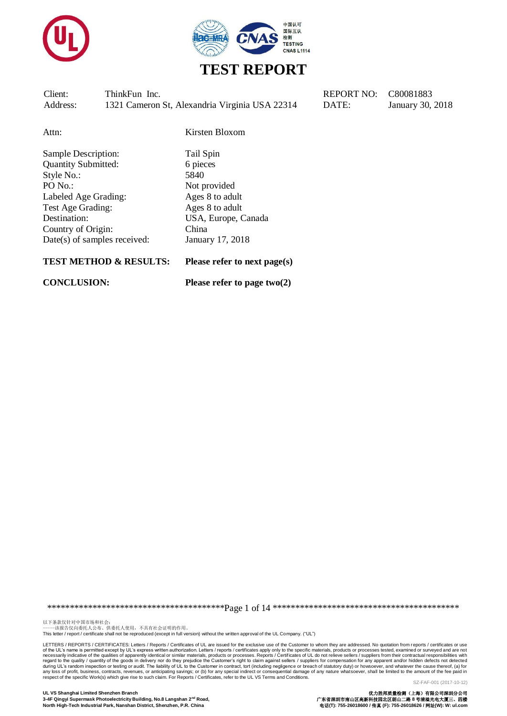



Attn: Kirsten Bloxom

Sample Description: Tail Spin Quantity Submitted: 6 pieces Style No.: 5840 PO No.: Not provided Labeled Age Grading: Ages 8 to adult Test Age Grading: Ages 8 to adult Destination: USA, Europe, Canada Country of Origin: China Date(s) of samples received: January 17, 2018

#### **TEST METHOD & RESULTS: Please refer to next page(s)**

**CONCLUSION: Please refer to page two(2)**

\*\*\*\*\*\*\*\*\*\*\*\*\*\*\*\*\*\*\*\*\*\*\*\*\*\*\*\*\*\*\*\*\*\*\*\*\*\*\*Page 1 of 14 \*\*\*\*\*\*\*\*\*\*\*\*\*\*\*\*\*\*\*\*\*\*\*\*\*\*\*\*\*\*\*\*\*\*\*\*\*\*\*\*\*

以下条款仅针对中国市场和社会:<br>-----该报告仅向委托人公布、供委托人使用,不具有社会证明的作用。

This letter / report / certificate shall not be reproduced (except in full version) without the written approval of the UL Company. ("UL")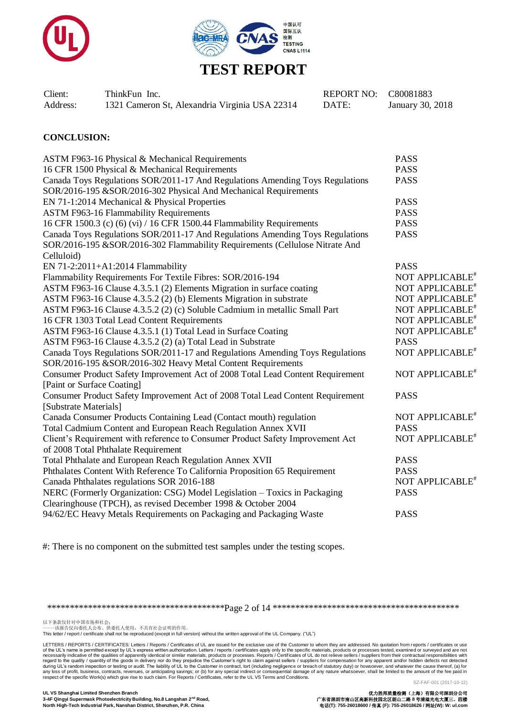



| Client:  | ThinkFun Inc.                                  | REPORT NO: C80081883 |                  |
|----------|------------------------------------------------|----------------------|------------------|
| Address: | 1321 Cameron St, Alexandria Virginia USA 22314 | DATE:                | January 30, 2018 |

#### **CONCLUSION:**

| ASTM F963-16 Physical & Mechanical Requirements                                | <b>PASS</b>                 |
|--------------------------------------------------------------------------------|-----------------------------|
| 16 CFR 1500 Physical & Mechanical Requirements                                 | <b>PASS</b>                 |
| Canada Toys Regulations SOR/2011-17 And Regulations Amending Toys Regulations  | <b>PASS</b>                 |
| SOR/2016-195 &SOR/2016-302 Physical And Mechanical Requirements                |                             |
| EN 71-1:2014 Mechanical & Physical Properties                                  | <b>PASS</b>                 |
| <b>ASTM F963-16 Flammability Requirements</b>                                  | <b>PASS</b>                 |
| 16 CFR 1500.3 (c) (6) (vi) / 16 CFR 1500.44 Flammability Requirements          | <b>PASS</b>                 |
| Canada Toys Regulations SOR/2011-17 And Regulations Amending Toys Regulations  | <b>PASS</b>                 |
| SOR/2016-195 &SOR/2016-302 Flammability Requirements (Cellulose Nitrate And    |                             |
| Celluloid)                                                                     |                             |
| EN 71-2:2011+A1:2014 Flammability                                              | <b>PASS</b>                 |
| Flammability Requirements For Textile Fibres: SOR/2016-194                     | NOT APPLICABLE <sup>#</sup> |
| ASTM F963-16 Clause 4.3.5.1 (2) Elements Migration in surface coating          | NOT APPLICABLE <sup>#</sup> |
| ASTM F963-16 Clause 4.3.5.2 (2) (b) Elements Migration in substrate            | NOT APPLICABLE <sup>#</sup> |
| ASTM F963-16 Clause 4.3.5.2 (2) (c) Soluble Cadmium in metallic Small Part     | NOT APPLICABLE <sup>#</sup> |
| 16 CFR 1303 Total Lead Content Requirements                                    | NOT APPLICABLE <sup>#</sup> |
| ASTM F963-16 Clause 4.3.5.1 (1) Total Lead in Surface Coating                  | NOT APPLICABLE <sup>#</sup> |
| ASTM F963-16 Clause 4.3.5.2 (2) (a) Total Lead in Substrate                    | <b>PASS</b>                 |
| Canada Toys Regulations SOR/2011-17 and Regulations Amending Toys Regulations  | NOT APPLICABLE <sup>#</sup> |
| SOR/2016-195 &SOR/2016-302 Heavy Metal Content Requirements                    |                             |
| Consumer Product Safety Improvement Act of 2008 Total Lead Content Requirement | NOT APPLICABLE <sup>#</sup> |
| [Paint or Surface Coating]                                                     |                             |
| Consumer Product Safety Improvement Act of 2008 Total Lead Content Requirement | <b>PASS</b>                 |
| [Substrate Materials]                                                          |                             |
| Canada Consumer Products Containing Lead (Contact mouth) regulation            | NOT APPLICABLE <sup>#</sup> |
| Total Cadmium Content and European Reach Regulation Annex XVII                 | <b>PASS</b>                 |
| Client's Requirement with reference to Consumer Product Safety Improvement Act | NOT APPLICABLE <sup>#</sup> |
| of 2008 Total Phthalate Requirement                                            |                             |
| Total Phthalate and European Reach Regulation Annex XVII                       | <b>PASS</b>                 |
| Phthalates Content With Reference To California Proposition 65 Requirement     | <b>PASS</b>                 |
| Canada Phthalates regulations SOR 2016-188                                     | NOT APPLICABLE <sup>#</sup> |
| NERC (Formerly Organization: CSG) Model Legislation - Toxics in Packaging      | <b>PASS</b>                 |
| Clearinghouse (TPCH), as revised December 1998 & October 2004                  |                             |
| 94/62/EC Heavy Metals Requirements on Packaging and Packaging Waste            | <b>PASS</b>                 |
|                                                                                |                             |

#: There is no component on the submitted test samples under the testing scopes.

\*\*\*\*\*\*\*\*\*\*\*\*\*\*\*\*\*\*\*\*\*\*\*\*\*\*\*\*\*\*\*\*\*\*\*\*\*\*\*Page 2 of 14 \*\*\*\*\*\*\*\*\*\*\*\*\*\*\*\*\*\*\*\*\*\*\*\*\*\*\*\*\*\*\*\*\*\*\*\*\*\*\*\*\*

以下条款仅针对中国市场和社会:<br>-----该报告仅向委托人公布、供委托人使用,不具有社会证明的作用。

This letter / report / certificate shall not be reproduced (except in full version) without the written approval of the UL Company. ("UL")

LETTERS / REPORTS / CERTIFICATES: Letters / Reports / Certificates of UL are issued for the exclusive use of the Customer to whom they are addressed. No quotation from reports / certificates or use of the UL's name is permitted except by UL's express written authorization. Letters / reports / certificates apply only to the specific materials, products or processes tested, examined or surveyed and are not or their con

**North High-Tech Industrial Park, Nanshan District, Shenzhen, P.R. China** 电话**(T): 755-26018600 /** 传真 **(F): 755-26018626 /** 网址**(W): W: ul.com**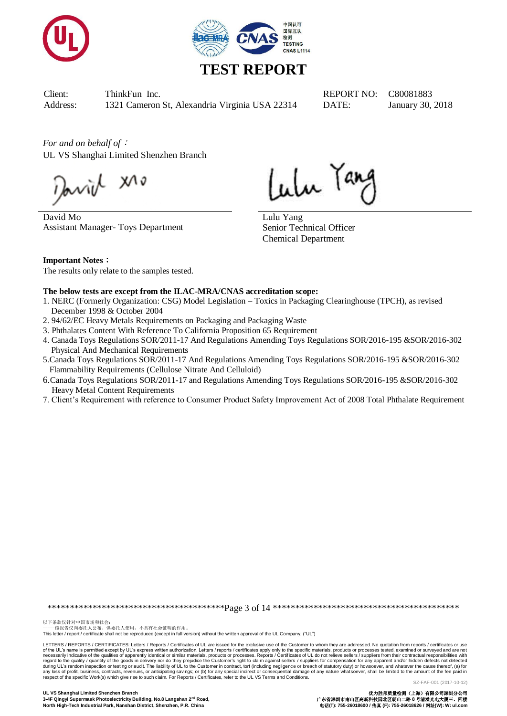



*For and on behalf of*: UL VS Shanghai Limited Shenzhen Branch

Javil XI

David Mo Assistant Manager- Toys Department

Lular Tang

Lulu Yang Senior Technical Officer Chemical Department

**Important Notes**: The results only relate to the samples tested.

#### **The below tests are except from the ILAC-MRA/CNAS accreditation scope:**

- 1. NERC (Formerly Organization: CSG) Model Legislation Toxics in Packaging Clearinghouse (TPCH), as revised December 1998 & October 2004
- 2. 94/62/EC Heavy Metals Requirements on Packaging and Packaging Waste
- 3. Phthalates Content With Reference To California Proposition 65 Requirement
- 4. Canada Toys Regulations SOR/2011-17 And Regulations Amending Toys Regulations SOR/2016-195 &SOR/2016-302 Physical And Mechanical Requirements
- 5.Canada Toys Regulations SOR/2011-17 And Regulations Amending Toys Regulations SOR/2016-195 &SOR/2016-302 Flammability Requirements (Cellulose Nitrate And Celluloid)
- 6.Canada Toys Regulations SOR/2011-17 and Regulations Amending Toys Regulations SOR/2016-195 &SOR/2016-302 Heavy Metal Content Requirements
- 7. Client's Requirement with reference to Consumer Product Safety Improvement Act of 2008 Total Phthalate Requirement

\*\*\*\*\*\*\*\*\*\*\*\*\*\*\*\*\*\*\*\*\*\*\*\*\*\*\*\*\*\*\*\*\*\*\*\*\*\*\*Page 3 of 14 \*\*\*\*\*\*\*\*\*\*\*\*\*\*\*\*\*\*\*\*\*\*\*\*\*\*\*\*\*\*\*\*\*\*\*\*\*\*\*\*\*

以下条款仅针对中国市场和社会:<br>-----该报告仅向委托人公布、供委托人使用,不具有社会证明的作用。

This letter / report / certificate shall not be reproduced (except in full version) without the written approval of the UL Company. ("UL")

LETTERS / REPORTS / CERTIFICATES: Letters / Reports / Certificates of UL are issued for the exclusive use of the Customer to whom they are addressed. No quotation from reports / certificates or use of the UL's name is permitted except by UL's express written authorization. Letters / reports / certificates apply only to the specific materials, products or processes tested, examined or surveyed and are not necessarily indicative of the qualities of apparently identical or similar materials, products or processes. Reports / Certificates of UL do not relieve sellers / suppliers from their contractual responsibilities with resp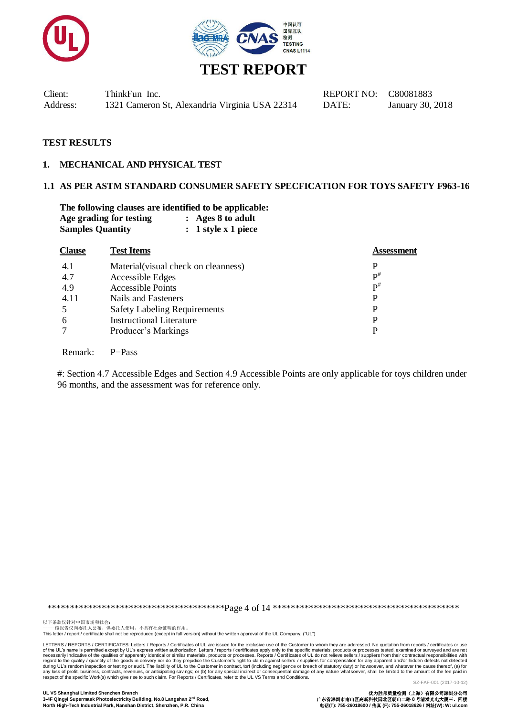



#### **TEST RESULTS**

#### **1. MECHANICAL AND PHYSICAL TEST**

#### **1.1 AS PER ASTM STANDARD CONSUMER SAFETY SPECFICATION FOR TOYS SAFETY F963-16**

**The following clauses are identified to be applicable: Age grading for testing : Ages 8 to adult Samples Quantity : 1 style x 1 piece**

| <b>Clause</b> | <b>Test Items</b>                   | Assessment        |
|---------------|-------------------------------------|-------------------|
| 4.1           | Material(visual check on cleanness) |                   |
| 4.7           | Accessible Edges                    | $\mathbf{p}^{\#}$ |
| 4.9           | <b>Accessible Points</b>            | $\mathbf{p}^{\#}$ |
| 4.11          | Nails and Fasteners                 | P                 |
| .5            | <b>Safety Labeling Requirements</b> | P                 |
| 6             | <b>Instructional Literature</b>     |                   |
| 7             | Producer's Markings                 |                   |
|               |                                     |                   |

Remark: P=Pass

#: Section 4.7 Accessible Edges and Section 4.9 Accessible Points are only applicable for toys children under 96 months, and the assessment was for reference only.

\*\*\*\*\*\*\*\*\*\*\*\*\*\*\*\*\*\*\*\*\*\*\*\*\*\*\*\*\*\*\*\*\*\*\*\*\*\*\*Page 4 of 14 \*\*\*\*\*\*\*\*\*\*\*\*\*\*\*\*\*\*\*\*\*\*\*\*\*\*\*\*\*\*\*\*\*\*\*\*\*\*\*\*\*

以下条款仅针对中国市场和社会:<br>-----该报告仅向委托人公布、供委托人使用,不具有社会证明的作用。

This letter / report / certificate shall not be reproduced (except in full version) without the written approval of the UL Company. ("UL")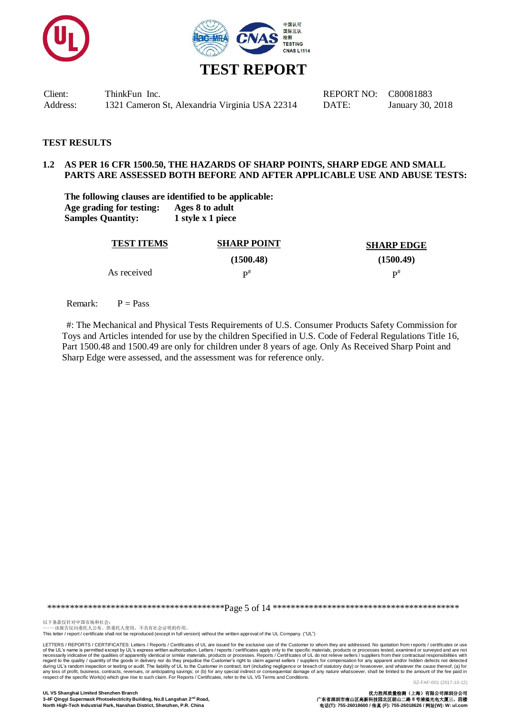



#### **TEST RESULTS**

#### **1.2 AS PER 16 CFR 1500.50, THE HAZARDS OF SHARP POINTS, SHARP EDGE AND SMALL PARTS ARE ASSESSED BOTH BEFORE AND AFTER APPLICABLE USE AND ABUSE TESTS:**

**The following clauses are identified to be applicable: Age grading for testing: Ages 8 to adult Samples Quantity: 1 style x 1 piece**

| <b>TEST ITEMS</b> | <b>SHARP POINT</b> | <b>SHARP EDGE</b> |
|-------------------|--------------------|-------------------|
|                   | (1500.48)          | (1500.49)         |
| As received       | $\mathbf{D}^{\#}$  | $\mathbf{p}^{\#}$ |

Remark:  $P = Pass$ 

#: The Mechanical and Physical Tests Requirements of U.S. Consumer Products Safety Commission for Toys and Articles intended for use by the children Specified in U.S. Code of Federal Regulations Title 16, Part 1500.48 and 1500.49 are only for children under 8 years of age. Only As Received Sharp Point and Sharp Edge were assessed, and the assessment was for reference only.

\*\*\*\*\*\*\*\*\*\*\*\*\*\*\*\*\*\*\*\*\*\*\*\*\*\*\*\*\*\*\*\*\*\*\*\*\*\*\*Page 5 of 14 \*\*\*\*\*\*\*\*\*\*\*\*\*\*\*\*\*\*\*\*\*\*\*\*\*\*\*\*\*\*\*\*\*\*\*\*\*\*\*\*\*

以下条款仅针对中国市场和社会:<br>-----该报告仅向委托人公布、供委托人使用,不具有社会证明的作用。 This letter / report / certificate shall not be reproduced (except in full version) without the written approval of the UL Company. ("UL")

LETTERS / REPORTS / CERTIFICATES: Letters / Reports / Certificates of UL are issued for the exclusive use of the Customer to whom they are addressed. No quotation from reports / certificates or use of the UL's name is permitted except by UL's express written authorization. Letters / reports / certificates apply only to the specific materials, products or processes tested, examined or surveyed and are not or their con

SZ-FAF-001 (2017-10-12)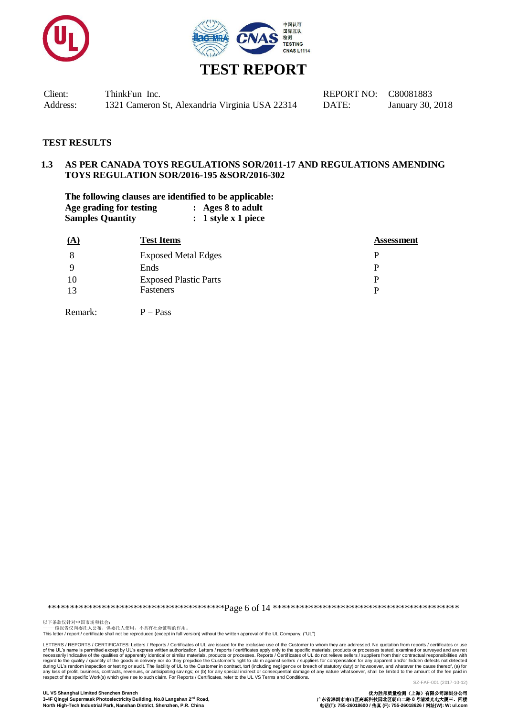



# **TEST REPORT**

Client: ThinkFun Inc. REPORT NO: C80081883 Address: 1321 Cameron St, Alexandria Virginia USA 22314 DATE: January 30, 2018

#### **TEST RESULTS**

#### **1.3 AS PER CANADA TOYS REGULATIONS SOR/2011-17 AND REGULATIONS AMENDING TOYS REGULATION SOR/2016-195 &SOR/2016-302**

**The following clauses are identified to be applicable: Age grading for testing : Ages 8 to adult Samples Quantity : 1 style x 1 piece**

| (A) | <b>Test Items</b>            | <b>Assessment</b> |
|-----|------------------------------|-------------------|
| 8   | <b>Exposed Metal Edges</b>   | P                 |
|     | Ends                         |                   |
| 10  | <b>Exposed Plastic Parts</b> | p                 |
| 13  | Fasteners                    |                   |
|     |                              |                   |

Remark:  $P = Pass$ 

\*\*\*\*\*\*\*\*\*\*\*\*\*\*\*\*\*\*\*\*\*\*\*\*\*\*\*\*\*\*\*\*\*\*\*\*\*\*\*Page 6 of 14 \*\*\*\*\*\*\*\*\*\*\*\*\*\*\*\*\*\*\*\*\*\*\*\*\*\*\*\*\*\*\*\*\*\*\*\*\*\*\*\*\*

以下条款仅针对中国市场和社会:<br>-----该报告仅向委托人公布、供委托人使用,不具有社会证明的作用。

This letter / report / certificate shall not be reproduced (except in full version) without the written approval of the UL Company. ("UL")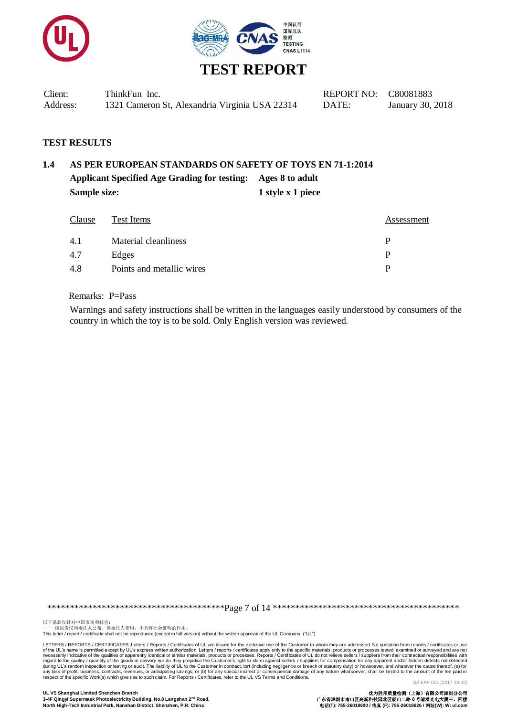



| Client:  | ThinkFun Inc.                                  | REPORT NO: C80081883 |                  |
|----------|------------------------------------------------|----------------------|------------------|
| Address: | 1321 Cameron St, Alexandria Virginia USA 22314 | DATE:                | January 30, 2018 |

#### **TEST RESULTS**

# **1.4 AS PER EUROPEAN STANDARDS ON SAFETY OF TOYS EN 71-1:2014 Applicant Specified Age Grading for testing: Ages 8 to adult Sample size:** 1 style x 1 piece

| Clause | Test Items                | Assessment |
|--------|---------------------------|------------|
| 4.1    | Material cleanliness      | D          |
| 4.7    | Edges                     | P          |
| 4.8    | Points and metallic wires | D          |

Remarks: P=Pass

Warnings and safety instructions shall be written in the languages easily understood by consumers of the country in which the toy is to be sold. Only English version was reviewed.

\*\*\*\*\*\*\*\*\*\*\*\*\*\*\*\*\*\*\*\*\*\*\*\*\*\*\*\*\*\*\*\*\*\*\*\*\*\*\*Page 7 of 14 \*\*\*\*\*\*\*\*\*\*\*\*\*\*\*\*\*\*\*\*\*\*\*\*\*\*\*\*\*\*\*\*\*\*\*\*\*\*\*\*\*

以下条款仅针对中国市场和社会:<br>-----该报告仅向委托人公布、供委托人使用,不具有社会证明的作用。

This letter / report / certificate shall not be reproduced (except in full version) without the written approval of the UL Company. ("UL")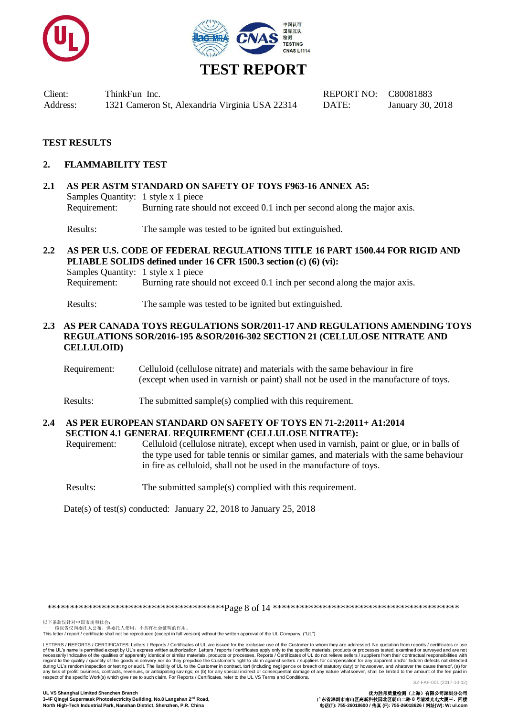



## **TEST RESULTS**

#### **2. FLAMMABILITY TEST**

**2.1 AS PER ASTM STANDARD ON SAFETY OF TOYS F963-16 ANNEX A5:** Samples Quantity: 1 style x 1 piece Requirement: Burning rate should not exceed 0.1 inch per second along the major axis.

Results: The sample was tested to be ignited but extinguished.

**2.2 AS PER U.S. CODE OF FEDERAL REGULATIONS TITLE 16 PART 1500.44 FOR RIGID AND PLIABLE SOLIDS defined under 16 CFR 1500.3 section (c) (6) (vi):** Samples Quantity: 1 style x 1 piece Requirement: Burning rate should not exceed 0.1 inch per second along the major axis.

Results: The sample was tested to be ignited but extinguished.

### **2.3 AS PER CANADA TOYS REGULATIONS SOR/2011-17 AND REGULATIONS AMENDING TOYS REGULATIONS SOR/2016-195 &SOR/2016-302 SECTION 21 (CELLULOSE NITRATE AND CELLULOID)**

- Requirement: Celluloid (cellulose nitrate) and materials with the same behaviour in fire (except when used in varnish or paint) shall not be used in the manufacture of toys.
- Results: The submitted sample(s) complied with this requirement.

#### **2.4 AS PER EUROPEAN STANDARD ON SAFETY OF TOYS EN 71-2:2011+ A1:2014 SECTION 4.1 GENERAL REQUIREMENT (CELLULOSE NITRATE):**

Requirement: Celluloid (cellulose nitrate), except when used in varnish, paint or glue, or in balls of the type used for table tennis or similar games, and materials with the same behaviour in fire as celluloid, shall not be used in the manufacture of toys.

Results: The submitted sample(s) complied with this requirement.

Date(s) of test(s) conducted: January 22, 2018 to January 25, 2018

\*\*\*\*\*\*\*\*\*\*\*\*\*\*\*\*\*\*\*\*\*\*\*\*\*\*\*\*\*\*\*\*\*\*\*\*\*\*\*Page 8 of 14 \*\*\*\*\*\*\*\*\*\*\*\*\*\*\*\*\*\*\*\*\*\*\*\*\*\*\*\*\*\*\*\*\*\*\*\*\*\*\*\*\*

LETTERS / REPORTS / CERTIFICATES: Letters / Reports / Certificates of UL are issued for the exclusive use of the Customer to whom they are addressed. No quotation from reports / certificates or use of the UL's name is permitted except by UL's express written authorization. Letters / reports / certificates apply only to the specific materials, products or processes tested, examined or surveyed and are not necessarily indicative of the qualities of apparently identical or similar materials, products or processes. Reports / Certificates of UL do not relieve sellers / suppliers from their contractual responsibilities with resp

以下条款仅针对中国市场和社会:<br>-----该报告仅向委托人公布、供委托人使用,不具有社会证明的作用。

This letter / report / certificate shall not be reproduced (except in full version) without the written approval of the UL Company. ("UL")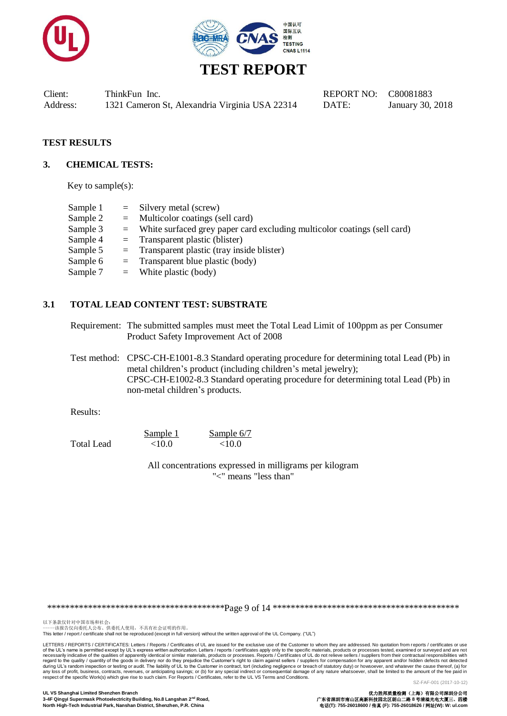



#### **TEST RESULTS**

#### **3. CHEMICAL TESTS:**

Key to sample(s):

| Sample 1 | $=$ Silvery metal (screw)                                                    |
|----------|------------------------------------------------------------------------------|
| Sample 2 | $=$ Multicolor coatings (sell card)                                          |
| Sample 3 | $=$ White surfaced grey paper card excluding multicolor coatings (sell card) |
| Sample 4 | $=$ Transparent plastic (blister)                                            |
| Sample 5 | $=$ Transparent plastic (tray inside blister)                                |
| Sample 6 | $=$ Transparent blue plastic (body)                                          |
| Sample 7 | $=$ White plastic (body)                                                     |

#### **3.1 TOTAL LEAD CONTENT TEST: SUBSTRATE**

Requirement: The submitted samples must meet the Total Lead Limit of 100ppm as per Consumer Product Safety Improvement Act of 2008

Test method: CPSC-CH-E1001-8.3 Standard operating procedure for determining total Lead (Pb) in metal children's product (including children's metal jewelry); CPSC-CH-E1002-8.3 Standard operating procedure for determining total Lead (Pb) in non-metal children's products.

Results:

Sample 1 Sample 6/7 Total Lead  $\leq 10.0$   $\leq 10.0$ 

> All concentrations expressed in milligrams per kilogram "<" means "less than"

\*\*\*\*\*\*\*\*\*\*\*\*\*\*\*\*\*\*\*\*\*\*\*\*\*\*\*\*\*\*\*\*\*\*\*\*\*\*\*Page 9 of 14 \*\*\*\*\*\*\*\*\*\*\*\*\*\*\*\*\*\*\*\*\*\*\*\*\*\*\*\*\*\*\*\*\*\*\*\*\*\*\*\*\*

以下条款仅针对中国市场和社会:<br>-----该报告仅向委托人公布、供委托人使用,不具有社会证明的作用。

This letter / report / certificate shall not be reproduced (except in full version) without the written approval of the UL Company. ("UL")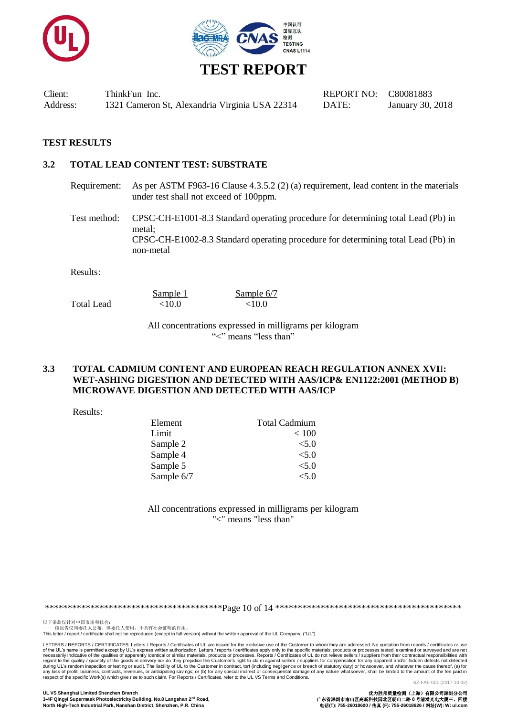



#### **TEST RESULTS**

#### **3.2 TOTAL LEAD CONTENT TEST: SUBSTRATE**

Requirement: As per ASTM F963-16 Clause 4.3.5.2 (2) (a) requirement, lead content in the materials under test shall not exceed of 100ppm.

Test method: CPSC-CH-E1001-8.3 Standard operating procedure for determining total Lead (Pb) in metal; CPSC-CH-E1002-8.3 Standard operating procedure for determining total Lead (Pb) in non-metal

Results:

Total Lead  $\leq 10.0$   $\leq 10.0$ 

Sample 1 Sample 6/7

All concentrations expressed in milligrams per kilogram "<" means "less than"

#### **3.3 TOTAL CADMIUM CONTENT AND EUROPEAN REACH REGULATION ANNEX XVI**I**: WET-ASHING DIGESTION AND DETECTED WITH AAS/ICP& EN1122:2001 (METHOD B) MICROWAVE DIGESTION AND DETECTED WITH AAS/ICP**

Results:

| <b>Total Cadmium</b> |
|----------------------|
| < 100                |
| < 5.0                |
| < 5.0                |
| < 5.0                |
| < 5.0                |
|                      |

All concentrations expressed in milligrams per kilogram "<" means "less than"

\*\*\*\*\*\*\*\*\*\*\*\*\*\*\*\*\*\*\*\*\*\*\*\*\*\*\*\*\*\*\*\*\*\*\*\*\*\*\*Page 10 of 14 \*\*\*\*\*\*\*\*\*\*\*\*\*\*\*\*\*\*\*\*\*\*\*\*\*\*\*\*\*\*\*\*\*\*\*\*\*\*\*\*\*

以下条款仅针对中国市场和社会:<br>-----该报告仅向委托人公布、供委托人使用,不具有社会证明的作用。

This letter / report / certificate shall not be reproduced (except in full version) without the written approval of the UL Company. ("UL")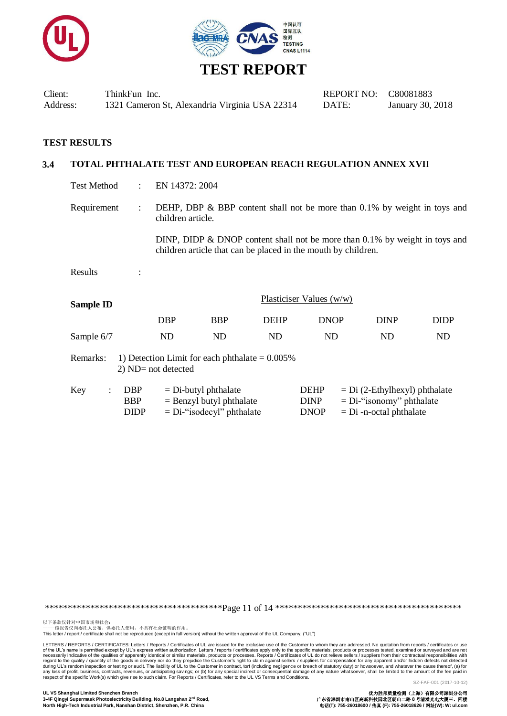



| Client:  | ThinkFun Inc.                                  | REPORT NO: C80081883 |             |
|----------|------------------------------------------------|----------------------|-------------|
| Address: | 1321 Cameron St, Alexandria Virginia USA 22314 | DATE:                | January 30, |

#### **TEST RESULTS**

#### **3.4 TOTAL PHTHALATE TEST AND EUROPEAN REACH REGULATION ANNEX XVI**I

Test Method : EN 14372: 2004

Requirement : DEHP, DBP  $\&$  BBP content shall not be more than 0.1% by weight in toys and children article.

> DINP, DIDP & DNOP content shall not be more than 0.1% by weight in toys and children article that can be placed in the mouth by children.

Results :

| Sample ID  |     |            | Plasticiser Values $(w/w)$ |             |             |      |
|------------|-----|------------|----------------------------|-------------|-------------|------|
|            | DBP | <b>BBP</b> | <b>DEHP</b>                | <b>DNOP</b> | <b>DINP</b> | DIDP |
| Sample 6/7 | ND  | ND         | ND                         | ND          | ND          | ND   |

Remarks: 1) Detection Limit for each phthalate  $= 0.005\%$ 2) ND= not detected

| Key | <b>DBP</b> | $=$ Di-butyl phthalate       | <b>DEHP</b> | $= Di (2-Ethylhexyl)$ phthalate |
|-----|------------|------------------------------|-------------|---------------------------------|
|     | <b>BBP</b> | $=$ Benzyl butyl phthalate   | <b>DINP</b> | $= Di$ -"isonomy" phthalate     |
|     | DIDP       | $= Di$ -"isodecyl" phthalate | <b>DNOP</b> | $= Di$ -n-octal phthalate       |

\*\*\*\*\*\*\*\*\*\*\*\*\*\*\*\*\*\*\*\*\*\*\*\*\*\*\*\*\*\*\*\*\*\*\*\*\*\*\*Page 11 of 14 \*\*\*\*\*\*\*\*\*\*\*\*\*\*\*\*\*\*\*\*\*\*\*\*\*\*\*\*\*\*\*\*\*\*\*\*\*\*\*\*\*

以下条款仅针对中国市场和社会:<br>-----该报告仅向委托人公布、供委托人使用,不具有社会证明的作用。

This letter / report / certificate shall not be reproduced (except in full version) without the written approval of the UL Company. ("UL")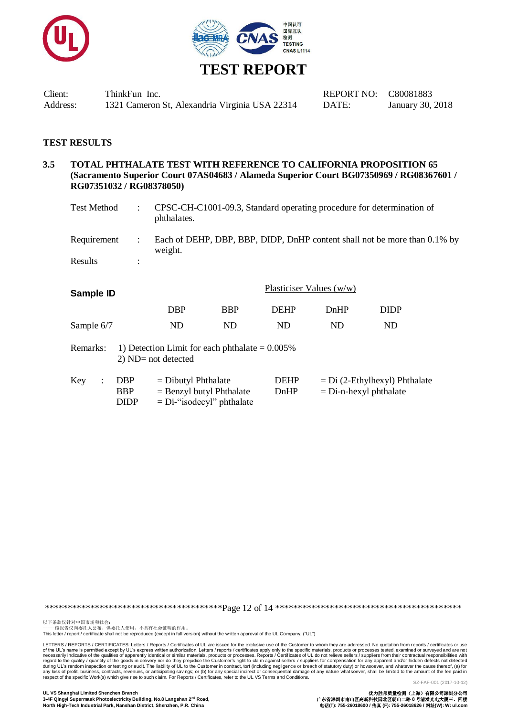



#### **TEST RESULTS**

#### **3.5 TOTAL PHTHALATE TEST WITH REFERENCE TO CALIFORNIA PROPOSITION 65 (Sacramento Superior Court 07AS04683 / Alameda Superior Court BG07350969 / RG08367601 / RG07351032 / RG08378050)**

| Test Method | CPSC-CH-C1001-09.3, Standard operating procedure for determination of<br>phthalates. |
|-------------|--------------------------------------------------------------------------------------|
| Requirement | Each of DEHP, DBP, BBP, DIDP, DnHP content shall not be more than 0.1% by<br>weight. |
| Results     |                                                                                      |

| Sample ID  |                                                                            |                                                     | Plasticiser Values (w/w)     |                     |                                                             |             |  |
|------------|----------------------------------------------------------------------------|-----------------------------------------------------|------------------------------|---------------------|-------------------------------------------------------------|-------------|--|
|            |                                                                            | <b>DBP</b>                                          | <b>BBP</b>                   | <b>DEHP</b>         | DnHP                                                        | <b>DIDP</b> |  |
| Sample 6/7 |                                                                            | ND.                                                 | <b>ND</b>                    | ND                  | ND                                                          | <b>ND</b>   |  |
| Remarks:   | 1) Detection Limit for each phthalate $= 0.005\%$<br>$2)$ ND= not detected |                                                     |                              |                     |                                                             |             |  |
| Key        | <b>DBP</b><br><b>BBP</b><br><b>DIDP</b>                                    | $=$ Dibutyl Phthalate<br>$=$ Benzyl butyl Phthalate | $= Di$ -"isodecyl" phthalate | <b>DEHP</b><br>DnHP | $= Di (2-Ethylhexyl)$ Phthalate<br>$=$ Di-n-hexyl phthalate |             |  |

\*\*\*\*\*\*\*\*\*\*\*\*\*\*\*\*\*\*\*\*\*\*\*\*\*\*\*\*\*\*\*\*\*\*\*\*\*\*\*Page 12 of 14 \*\*\*\*\*\*\*\*\*\*\*\*\*\*\*\*\*\*\*\*\*\*\*\*\*\*\*\*\*\*\*\*\*\*\*\*\*\*\*\*\*

以下条款仅针对中国市场和社会:<br>-----该报告仅向委托人公布、供委托人使用,不具有社会证明的作用。

This letter / report / certificate shall not be reproduced (except in full version) without the written approval of the UL Company. ("UL")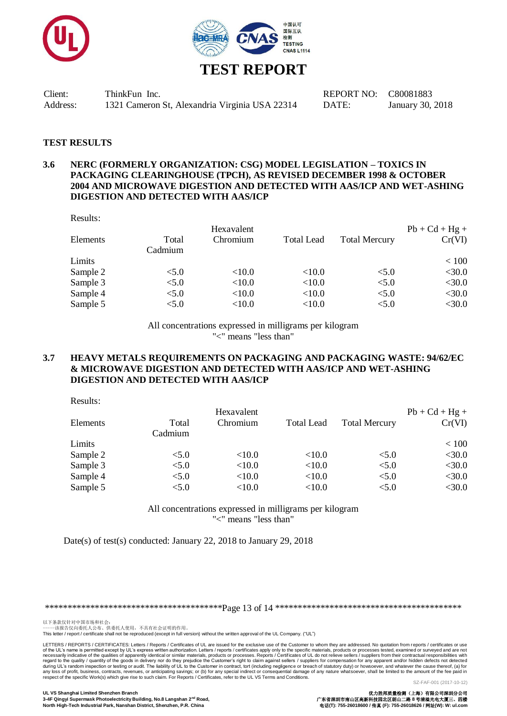



#### **TEST RESULTS**

#### **3.6 NERC (FORMERLY ORGANIZATION: CSG) MODEL LEGISLATION – TOXICS IN PACKAGING CLEARINGHOUSE (TPCH), AS REVISED DECEMBER 1998 & OCTOBER 2004 AND MICROWAVE DIGESTION AND DETECTED WITH AAS/ICP AND WET-ASHING DIGESTION AND DETECTED WITH AAS/ICP**

Results:

|          |         | Hexavalent |                   |                      | $Pb + Cd + Hg +$ |
|----------|---------|------------|-------------------|----------------------|------------------|
| Elements | Total   | Chromium   | <b>Total Lead</b> | <b>Total Mercury</b> | Cr(VI)           |
|          | Cadmium |            |                   |                      |                  |
| Limits   |         |            |                   |                      | < 100            |
| Sample 2 | < 5.0   | < 10.0     | < 10.0            | < 5.0                | $<$ 30.0         |
| Sample 3 | < 5.0   | ${<}10.0$  | < 10.0            | < 5.0                | $<$ 30.0         |
| Sample 4 | < 5.0   | <10.0      | < 10.0            | < 5.0                | $<$ 30.0         |
| Sample 5 | < 5.0   | <10.0      | < 10.0            | < 5.0                | $<$ 30.0         |
|          |         |            |                   |                      |                  |

All concentrations expressed in milligrams per kilogram "<" means "less than"

#### **3.7 HEAVY METALS REQUIREMENTS ON PACKAGING AND PACKAGING WASTE: 94/62/EC & MICROWAVE DIGESTION AND DETECTED WITH AAS/ICP AND WET-ASHING DIGESTION AND DETECTED WITH AAS/ICP**

Results:

|          |         | Hexavalent |                   |                      | $Pb + Cd + Hg +$ |
|----------|---------|------------|-------------------|----------------------|------------------|
| Elements | Total   | Chromium   | <b>Total Lead</b> | <b>Total Mercury</b> | Cr(VI)           |
|          | Cadmium |            |                   |                      |                  |
| Limits   |         |            |                   |                      | < 100            |
| Sample 2 | < 5.0   | < 10.0     | < 10.0            | < 5.0                | $<$ 30.0         |
| Sample 3 | < 5.0   | < 10.0     | < 10.0            | < 5.0                | $<$ 30.0         |
| Sample 4 | < 5.0   | < 10.0     | < 10.0            | < 5.0                | $<$ 30.0         |
| Sample 5 | < 5.0   | ${<}10.0$  | < 10.0            | < 5.0                | $<$ 30.0         |
|          |         |            |                   |                      |                  |

All concentrations expressed in milligrams per kilogram "<" means "less than"

Date(s) of test(s) conducted: January 22, 2018 to January 29, 2018

\*\*\*\*\*\*\*\*\*\*\*\*\*\*\*\*\*\*\*\*\*\*\*\*\*\*\*\*\*\*\*\*\*\*\*\*\*\*\*Page 13 of 14 \*\*\*\*\*\*\*\*\*\*\*\*\*\*\*\*\*\*\*\*\*\*\*\*\*\*\*\*\*\*\*\*\*\*\*\*\*\*\*\*\*

以下条款仅针对中国市场和社会:<br>-----该报告仅向委托人公布、供委托人使用,不具有社会证明的作用。

This letter / report / certificate shall not be reproduced (except in full version) without the written approval of the UL Company. ("UL")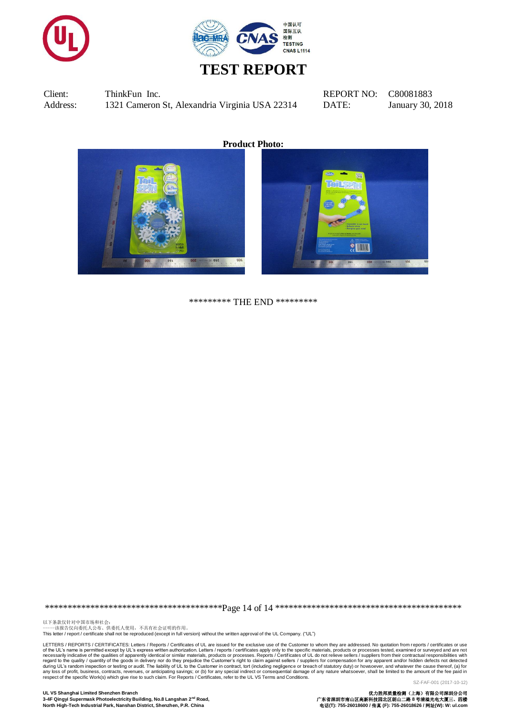



**Product Photo:**



\*\*\*\*\*\*\*\*\* THE END \*\*\*\*\*\*\*\*\*

\*\*\*\*\*\*\*\*\*\*\*\*\*\*\*\*\*\*\*\*\*\*\*\*\*\*\*\*\*\*\*\*\*\*\*\*\*\*\*Page 14 of 14 \*\*\*\*\*\*\*\*\*\*\*\*\*\*\*\*\*\*\*\*\*\*\*\*\*\*\*\*\*\*\*\*\*\*\*\*\*\*\*\*\*

以下条款仅针对中国市场和社会:<br>-----该报告仅向委托人公布、供委托人使用,不具有社会证明的作用。 This letter / report / certificate shall not be reproduced (except in full version) without the written approval of the UL Company. ("UL")

LETTERS / REPORTS / CERTIFICATES: Letters / Reports / Certificates of UL are issued for the exclusive use of the Customer to whom they are addressed. No quotation from reports / certificates or use of the UL's name is permitted except by UL's express written authorization. Letters / reports / certificates apply only to the specific materials, products or processes tested, examined or surveyed and are not are not are

**UL VS Shanghai Limited Shenzhen Branch** 优力胜邦质量检测(上海)有限公司深圳分公司 3-4F Qingyi Supermask Photoelectricity Building, No.8 Langshan 2<sup>nd</sup> Road, **North High-Tech Industrial Park, Nanshan District, Shenzhen, P.R. China** 电话**(T): 755-26018600 /** 传真 **(F): 755-26018626 /** 网址**(W): W: ul.com**